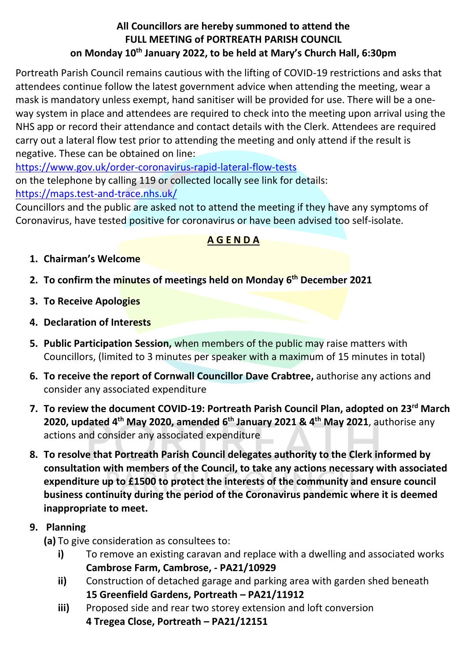## **All Councillors are hereby summoned to attend the FULL MEETING of PORTREATH PARISH COUNCIL on Monday 10th January 2022, to be held at Mary's Church Hall, 6:30pm**

Portreath Parish Council remains cautious with the lifting of COVID-19 restrictions and asks that attendees continue follow the latest government advice when attending the meeting, wear a mask is mandatory unless exempt, hand sanitiser will be provided for use. There will be a oneway system in place and attendees are required to check into the meeting upon arrival using the NHS app or record their attendance and contact details with the Clerk. Attendees are required carry out a lateral flow test prior to attending the meeting and only attend if the result is negative. These can be obtained on line:

<https://www.gov.uk/order-coronavirus-rapid-lateral-flow-tests> on the telephone by calling 119 or collected locally see link for details: <https://maps.test-and-trace.nhs.uk/>

Councillors and the public are asked not to attend the meeting if they have any symptoms of Coronavirus, have tested positive for coronavirus or have been advised too self-isolate.

## **A G E N D A**

- **1. Chairman's Welcome**
- **2. To confirm the minutes of meetings held on Monday 6 th December 2021**
- **3. To Receive Apologies**
- **4. Declaration of Interests**
- **5. Public Participation Session,** when members of the public may raise matters with Councillors, (limited to 3 minutes per speaker with a maximum of 15 minutes in total)
- **6. To receive the report of Cornwall Councillor Dave Crabtree,** authorise any actions and consider any associated expenditure
- **7. To review the document COVID-19: Portreath Parish Council Plan, adopted on 23rd March 2020, updated 4 th May 2020, amended 6th January 2021 & 4 th May 2021**, authorise any actions and consider any associated expenditure
- **8. To resolve that Portreath Parish Council delegates authority to the Clerk informed by consultation with members of the Council, to take any actions necessary with associated expenditure up to £1500 to protect the interests of the community and ensure council business continuity during the period of the Coronavirus pandemic where it is deemed inappropriate to meet.**

## **9. Planning**

- **(a)** To give consideration as consultees to:
	- **i)** To remove an existing caravan and replace with a dwelling and associated works **Cambrose Farm, Cambrose, - PA21/10929**
	- **ii)** Construction of detached garage and parking area with garden shed beneath **15 Greenfield Gardens, Portreath – PA21/11912**
	- **iii)** Proposed side and rear two storey extension and loft conversion **4 Tregea Close, Portreath – PA21/12151**